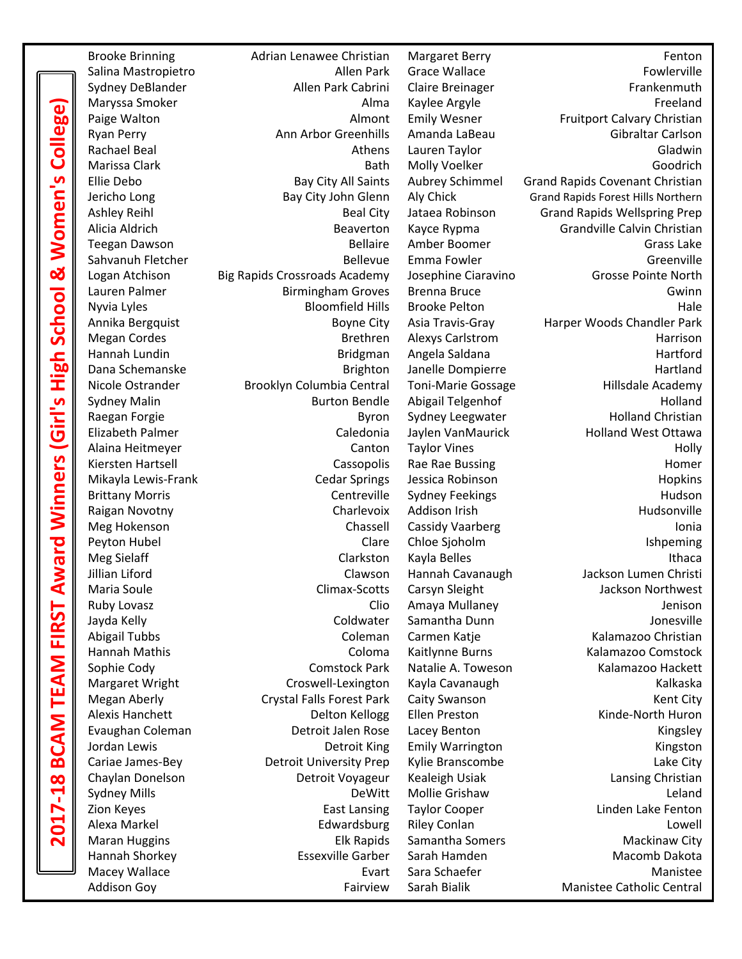**2017-18 BCAM TEAM FIRST Award Winners (Girl's High School & Women's College)** ege  $\overline{\mathbf{S}}$ Women<sup>'</sup> ಜೆ School  $rac{1}{2}$ <u>ທ</u> ا<br>تا inners **Mard** 二 TEAI  $\overline{\mathbf{A}}$ മ  $\infty$ 

Brooke Brinning The Adrian Lenawee Christian Margaret Berry The Christian Margaret Berry Fenton Salina Mastropietro **Allen Park Grace Wallace** Fowlerville Sydney DeBlander **Allen Park Cabrini** Claire Breinager **Frankenmuth** Frankenmuth Maryssa Smoker **Alma Kaylee** Argyle **Alma Kaylee** Argyle **Freeland** Paige Walton **Almont Emily Wesner** Fruitport Calvary Christian Paige Walton Ryan Perry **Anne Anniel Carlson** Anne Greenhills Amanda LaBeau Gibraltar Carlson Rachael Beal **Athens Lauren Taylor** Cladwin Gladwin Marissa Clark **Bath Molly Voelker** Goodrich Goodrich Ellie Debo **Bay City All Saints** Aubrey Schimmel Grand Rapids Covenant Christian Jericho Long **Bay City John Glenn** Aly Chick Grand Rapids Forest Hills Northern Ashley Reihl **Beal City Jataea Robinson** Grand Rapids Wellspring Prep Alicia Aldrich **Beaverton** Kayce Rypma Grandville Calvin Christian Grandville Calvin Christian Teegan Dawson **Bellaire Amber Boomer** Grass Lake Sahvanuh Fletcher The Communication of Bellevue Emma Fowler Communication of Greenville Logan Atchison Big Rapids Crossroads Academy Josephine Ciaravino Grosse Pointe North Lauren Palmer **Birmingham Groves** Brenna Bruce **Brenna Bruce** Gwinn Nyvia Lyles **Bloomfield Hills** Brooke Pelton **Marshall** Hale Annika Bergquist **Boyne City Asia Travis-Gray** Harper Woods Chandler Park **Megan Cordes Brethren** Alexys Carlstrom **Brethren** Alexys Carlstrom **Harrison** Hannah Lundin Bridgman Angela Saldana Hartford Dana Schemanske and Brighton Janelle Dompierre and Hartland Nicole Ostrander **Brooklyn Columbia Central** Toni-Marie Gossage **Hillsdale Academy** Sydney Malin **Burton Bendle** Abigail Telgenhof **Burton Bendle Abigail** Telgenhof **Holland** Raegan Forgie **Byron** Byron Sydney Leegwater **Holland Christian** Elizabeth Palmer **Caledonia** Jaylen VanMaurick Holland West Ottawa Alaina Heitmeyer **Canton Taylor Vines** Holly Holly Kiersten Hartsell **Krieblands** Cassopolis Rae Rae Bussing **Homer** Homer Mikayla Lewis-Frank Cedar Springs Jessica Robinson Hopkins Brittany Morris **Example 28 Centreville** Sydney Feekings **State Controllers** Hudson Raigan Novotny **Charlevoix Addison Irish Hudsonville** Hudsonville Meg Hokenson **Internal Chassell Cassidy Vaarberg** The Contact Contact Contact Chassell Cassidy Vaarberg **Ionia** Peyton Hubel **Clare** Chloe Sjoholm **Clare Chloe Chloe Chloe Chloe Chloe** Chloe Chloe Chloe Chloe Chloe Chloe Chloe Chloe Chloe Chloe Chloe Chloe Chloe Chloe Chloe Chloe Chloe Chloe Chloe Chloe Chloe Chloe Chloe Chloe Chloe Meg Sielaff **Clarkston Kayla Belles** Ithaca Jillian Liford **Clamber Clawson** Hannah Cavanaugh **Jackson Lumen Christi** Maria Soule **Climax-Scotts** Carsyn Sleight Jackson Northwest Ruby Lovasz **Clio Amaya Mullaney Clio Amaya Mullaney Clio Amaya Mullaney Jenison** Jayda Kelly **Coldwater** Samantha Dunn **Coldwater** Samantha Dunn Abigail Tubbs **Coleman Carmen Katje** Kalamazoo Christian Coleman Carmen Katje Kalamazoo Christian Hannah Mathis **Coloma Kaitlynne Burns** Kalamazoo Comstock Sophie Cody **Comstock Park Natalie A.** Toweson Kalamazoo Hackett Margaret Wright Croswell-Lexington Kayla Cavanaugh Kalkaska Megan Aberly **Crystal Falls Forest Park Caity Swanson** Megan Aberly Kent City Alexis Hanchett **Delton Kellogg Ellen Preston** Minde-North Huron Evaughan Coleman Detroit Jalen Rose Lacey Benton Kingsley Jordan Lewis **Communist Communist Communist Communist Communist Communist Communist Communist Communist Communist Communist Communist Communist Communist Communist Communist Communist Communist Communist Communist Communis** Cariae James-Bey **Detroit University Prep** Kylie Branscombe **Lake City** Lake City Chaylan Donelson **Detroit Voyageur** Kealeigh Usiak Lansing Christian Christian Sydney Mills **Subset Contract Contract Contract Contract Contract Contract Contract Contract Contract Contract Contract Contract Contract Contract Contract Contract Contract Contract Contract Contract Contract Contract Con** Zion Keyes **East Lansing Taylor Cooper East Lansing Linden Lake Fenton** Alexa Markel **Edwardsburg Riley Conlan Conduct Alexa** Lowell Maran Huggins **Elk Rapids** Samantha Somers Mackinaw City Hannah Shorkey **Exsexville Garber** Sarah Hamden Macomb Dakota Macey Wallace **Evart Sara Schaefer** Manistee Manistee

Addison Goy **Fairview** Sarah Bialik Manistee Catholic Central